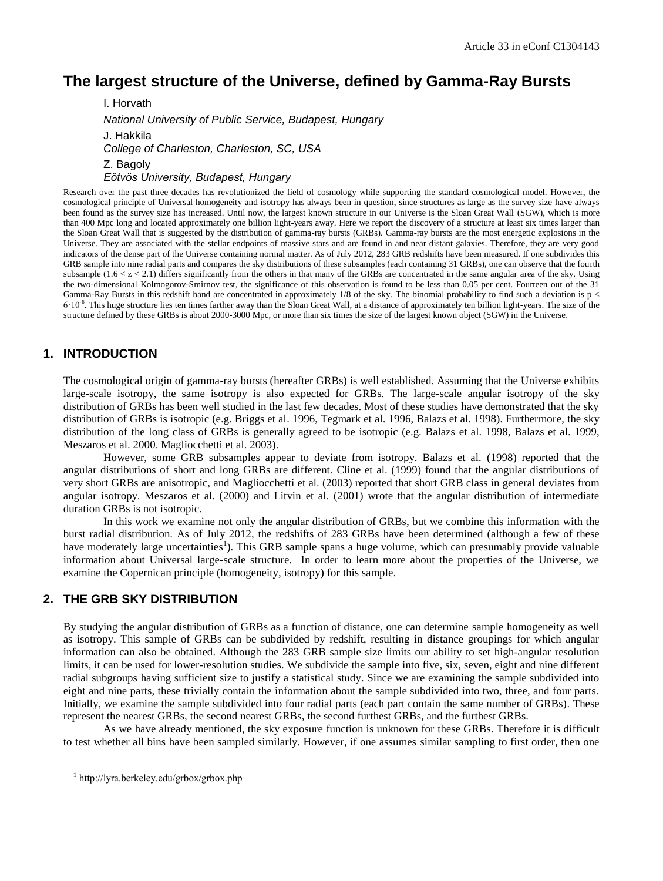# **The largest structure of the Universe, defined by Gamma-Ray Bursts**

I. Horvath *National University of Public Service, Budapest, Hungary* J. Hakkila *College of Charleston, Charleston, SC, USA* Z. Bagoly *Eötvös University, Budapest, Hungary*

Research over the past three decades has revolutionized the field of cosmology while supporting the standard cosmological model. However, the cosmological principle of Universal homogeneity and isotropy has always been in question, since structures as large as the survey size have always been found as the survey size has increased. Until now, the largest known structure in our Universe is the Sloan Great Wall (SGW), which is more than 400 Mpc long and located approximately one billion light-years away. Here we report the discovery of a structure at least six times larger than the Sloan Great Wall that is suggested by the distribution of gamma-ray bursts (GRBs). Gamma-ray bursts are the most energetic explosions in the Universe. They are associated with the stellar endpoints of massive stars and are found in and near distant galaxies. Therefore, they are very good indicators of the dense part of the Universe containing normal matter. As of July 2012, 283 GRB redshifts have been measured. If one subdivides this GRB sample into nine radial parts and compares the sky distributions of these subsamples (each containing 31 GRBs), one can observe that the fourth subsample  $(1.6 < z < 2.1)$  differs significantly from the others in that many of the GRBs are concentrated in the same angular area of the sky. Using the two-dimensional Kolmogorov-Smirnov test, the significance of this observation is found to be less than 0.05 per cent. Fourteen out of the 31 Gamma-Ray Bursts in this redshift band are concentrated in approximately 1/8 of the sky. The binomial probability to find such a deviation is p <  $6 \cdot 10^{-6}$ . This huge structure lies ten times farther away than the Sloan Great Wall, at a distance of approximately ten billion light-years. The size of the structure defined by these GRBs is about 2000-3000 Mpc, or more than six times the size of the largest known object (SGW) in the Universe.

## **1. INTRODUCTION**

The cosmological origin of gamma-ray bursts (hereafter GRBs) is well established. Assuming that the Universe exhibits large-scale isotropy, the same isotropy is also expected for GRBs. The large-scale angular isotropy of the sky distribution of GRBs has been well studied in the last few decades. Most of these studies have demonstrated that the sky distribution of GRBs is isotropic (e.g. Briggs et al. 1996, Tegmark et al. 1996, Balazs et al. 1998). Furthermore, the sky distribution of the long class of GRBs is generally agreed to be isotropic (e.g. Balazs et al. 1998, Balazs et al. 1999, Meszaros et al. 2000. Magliocchetti et al. 2003).

However, some GRB subsamples appear to deviate from isotropy. Balazs et al. (1998) reported that the angular distributions of short and long GRBs are different. Cline et al. (1999) found that the angular distributions of very short GRBs are anisotropic, and Magliocchetti et al. (2003) reported that short GRB class in general deviates from angular isotropy. Meszaros et al. (2000) and Litvin et al. (2001) wrote that the angular distribution of intermediate duration GRBs is not isotropic.

In this work we examine not only the angular distribution of GRBs, but we combine this information with the burst radial distribution. As of July 2012, the redshifts of 283 GRBs have been determined (although a few of these have moderately large uncertainties<sup>1</sup>). This GRB sample spans a huge volume, which can presumably provide valuable information about Universal large-scale structure. In order to learn more about the properties of the Universe, we examine the Copernican principle (homogeneity, isotropy) for this sample.

## **2. THE GRB SKY DISTRIBUTION**

By studying the angular distribution of GRBs as a function of distance, one can determine sample homogeneity as well as isotropy. This sample of GRBs can be subdivided by redshift, resulting in distance groupings for which angular information can also be obtained. Although the 283 GRB sample size limits our ability to set high-angular resolution limits, it can be used for lower-resolution studies. We subdivide the sample into five, six, seven, eight and nine different radial subgroups having sufficient size to justify a statistical study. Since we are examining the sample subdivided into eight and nine parts, these trivially contain the information about the sample subdivided into two, three, and four parts. Initially, we examine the sample subdivided into four radial parts (each part contain the same number of GRBs). These represent the nearest GRBs, the second nearest GRBs, the second furthest GRBs, and the furthest GRBs.

As we have already mentioned, the sky exposure function is unknown for these GRBs. Therefore it is difficult to test whether all bins have been sampled similarly. However, if one assumes similar sampling to first order, then one

 $\overline{a}$ 

<sup>1</sup> http://lyra.berkeley.edu/grbox/grbox.php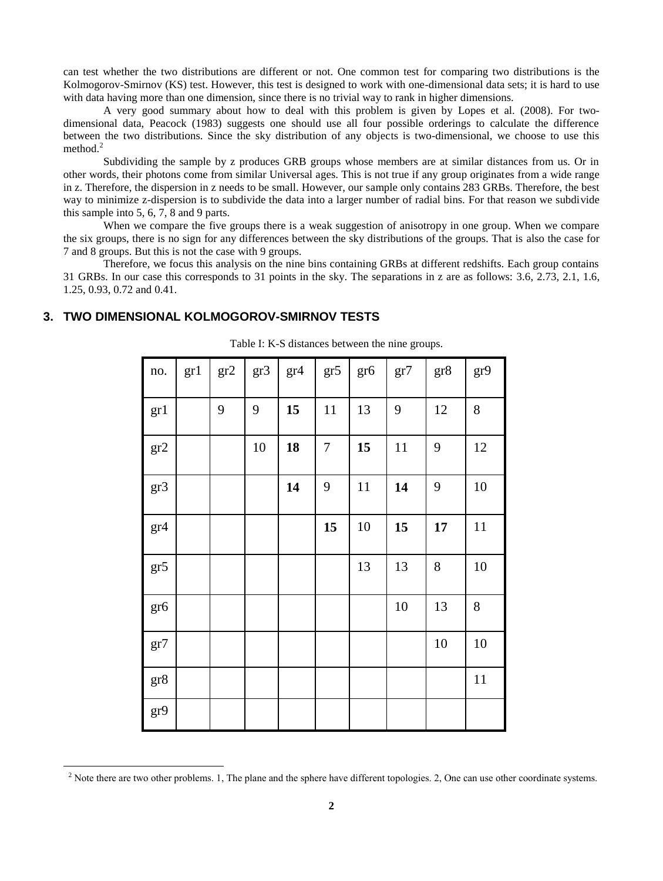can test whether the two distributions are different or not. One common test for comparing two distributions is the Kolmogorov-Smirnov (KS) test. However, this test is designed to work with one-dimensional data sets; it is hard to use with data having more than one dimension, since there is no trivial way to rank in higher dimensions.

A very good summary about how to deal with this problem is given by Lopes et al. (2008). For twodimensional data, Peacock (1983) suggests one should use all four possible orderings to calculate the difference between the two distributions. Since the sky distribution of any objects is two-dimensional, we choose to use this method.<sup>2</sup>

Subdividing the sample by z produces GRB groups whose members are at similar distances from us. Or in other words, their photons come from similar Universal ages. This is not true if any group originates from a wide range in z. Therefore, the dispersion in z needs to be small. However, our sample only contains 283 GRBs. Therefore, the best way to minimize z-dispersion is to subdivide the data into a larger number of radial bins. For that reason we subdivide this sample into 5, 6, 7, 8 and 9 parts.

When we compare the five groups there is a weak suggestion of anisotropy in one group. When we compare the six groups, there is no sign for any differences between the sky distributions of the groups. That is also the case for 7 and 8 groups. But this is not the case with 9 groups.

Therefore, we focus this analysis on the nine bins containing GRBs at different redshifts. Each group contains 31 GRBs. In our case this corresponds to 31 points in the sky. The separations in z are as follows: 3.6, 2.73, 2.1, 1.6, 1.25, 0.93, 0.72 and 0.41.

#### **3. TWO DIMENSIONAL KOLMOGOROV-SMIRNOV TESTS**

 $\overline{a}$ 

| no.             | gr1 | gr2 | gr3 | gr4 | gr5 | gr6 | gr7 | gr8 | gr9   |
|-----------------|-----|-----|-----|-----|-----|-----|-----|-----|-------|
| gr1             |     | 9   | 9   | 15  | 11  | 13  | 9   | 12  | $8\,$ |
| gr2             |     |     | 10  | 18  | 7   | 15  | 11  | 9   | 12    |
| gr3             |     |     |     | 14  | 9   | 11  | 14  | 9   | 10    |
| gr4             |     |     |     |     | 15  | 10  | 15  | 17  | 11    |
| gr5             |     |     |     |     |     | 13  | 13  | 8   | 10    |
| gr <sub>6</sub> |     |     |     |     |     |     | 10  | 13  | $8\,$ |
| gr7             |     |     |     |     |     |     |     | 10  | 10    |
| $gr8$           |     |     |     |     |     |     |     |     | 11    |
| gr9             |     |     |     |     |     |     |     |     |       |

| Table I: K-S distances between the nine groups. |  |  |  |
|-------------------------------------------------|--|--|--|
|-------------------------------------------------|--|--|--|

 $2$  Note there are two other problems. 1, The plane and the sphere have different topologies. 2, One can use other coordinate systems.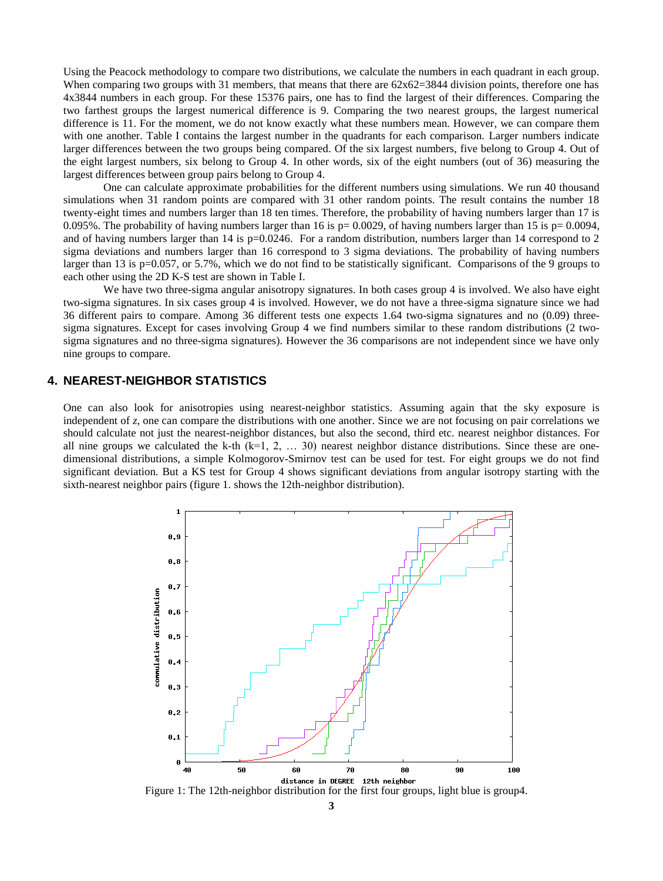Using the Peacock methodology to compare two distributions, we calculate the numbers in each quadrant in each group. When comparing two groups with 31 members, that means that there are  $62x62=3844$  division points, therefore one has 4x3844 numbers in each group. For these 15376 pairs, one has to find the largest of their differences. Comparing the two farthest groups the largest numerical difference is 9. Comparing the two nearest groups, the largest numerical difference is 11. For the moment, we do not know exactly what these numbers mean. However, we can compare them with one another. Table I contains the largest number in the quadrants for each comparison. Larger numbers indicate larger differences between the two groups being compared. Of the six largest numbers, five belong to Group 4. Out of the eight largest numbers, six belong to Group 4. In other words, six of the eight numbers (out of 36) measuring the largest differences between group pairs belong to Group 4.

One can calculate approximate probabilities for the different numbers using simulations. We run 40 thousand simulations when 31 random points are compared with 31 other random points. The result contains the number 18 twenty-eight times and numbers larger than 18 ten times. Therefore, the probability of having numbers larger than 17 is 0.095%. The probability of having numbers larger than 16 is  $p=0.0029$ , of having numbers larger than 15 is  $p=0.0094$ , and of having numbers larger than 14 is  $p=0.0246$ . For a random distribution, numbers larger than 14 correspond to 2 sigma deviations and numbers larger than 16 correspond to 3 sigma deviations. The probability of having numbers larger than 13 is p=0.057, or 5.7%, which we do not find to be statistically significant. Comparisons of the 9 groups to each other using the 2D K-S test are shown in Table I.

We have two three-sigma angular anisotropy signatures. In both cases group 4 is involved. We also have eight two-sigma signatures. In six cases group 4 is involved. However, we do not have a three-sigma signature since we had 36 different pairs to compare. Among 36 different tests one expects 1.64 two-sigma signatures and no (0.09) threesigma signatures. Except for cases involving Group 4 we find numbers similar to these random distributions (2 twosigma signatures and no three-sigma signatures). However the 36 comparisons are not independent since we have only nine groups to compare.

### **4. NEAREST-NEIGHBOR STATISTICS**

One can also look for anisotropies using nearest-neighbor statistics. Assuming again that the sky exposure is independent of *z*, one can compare the distributions with one another. Since we are not focusing on pair correlations we should calculate not just the nearest-neighbor distances, but also the second, third etc. nearest neighbor distances. For all nine groups we calculated the k-th  $(k=1, 2, \ldots, 30)$  nearest neighbor distance distributions. Since these are onedimensional distributions, a simple Kolmogorov-Smirnov test can be used for test. For eight groups we do not find significant deviation. But a KS test for Group 4 shows significant deviations from angular isotropy starting with the sixth-nearest neighbor pairs (figure 1. shows the 12th-neighbor distribution).



Figure 1: The 12th-neighbor distribution for the first four groups, light blue is group4.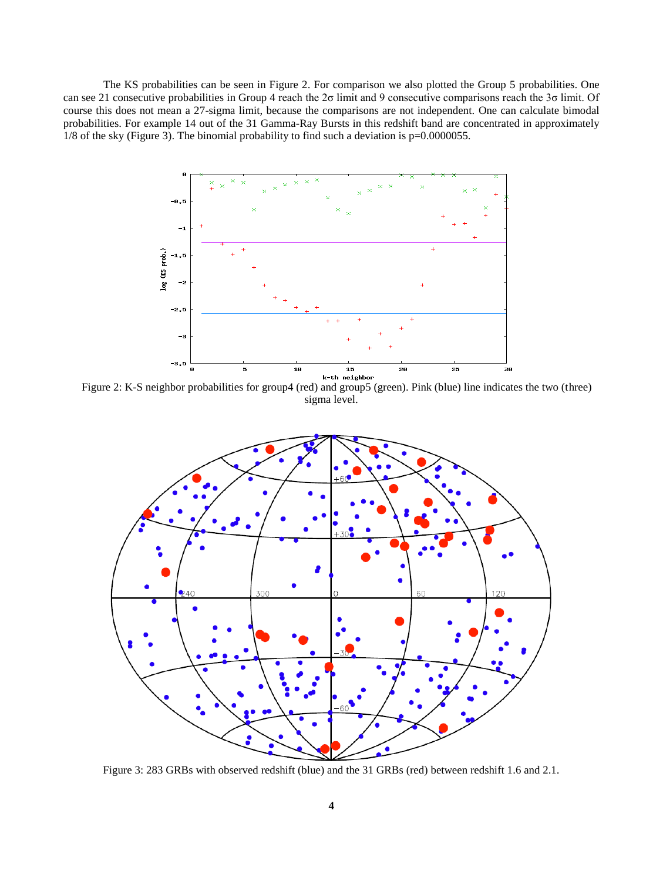The KS probabilities can be seen in Figure 2. For comparison we also plotted the Group 5 probabilities. One can see 21 consecutive probabilities in Group 4 reach the 2σ limit and 9 consecutive comparisons reach the 3σ limit. Of course this does not mean a 27-sigma limit, because the comparisons are not independent. One can calculate bimodal probabilities. For example 14 out of the 31 Gamma-Ray Bursts in this redshift band are concentrated in approximately 1/8 of the sky (Figure 3). The binomial probability to find such a deviation is p=0.0000055.



Figure 2: K-S neighbor probabilities for group4 (red) and group5 (green). Pink (blue) line indicates the two (three) sigma level.



Figure 3: 283 GRBs with observed redshift (blue) and the 31 GRBs (red) between redshift 1.6 and 2.1.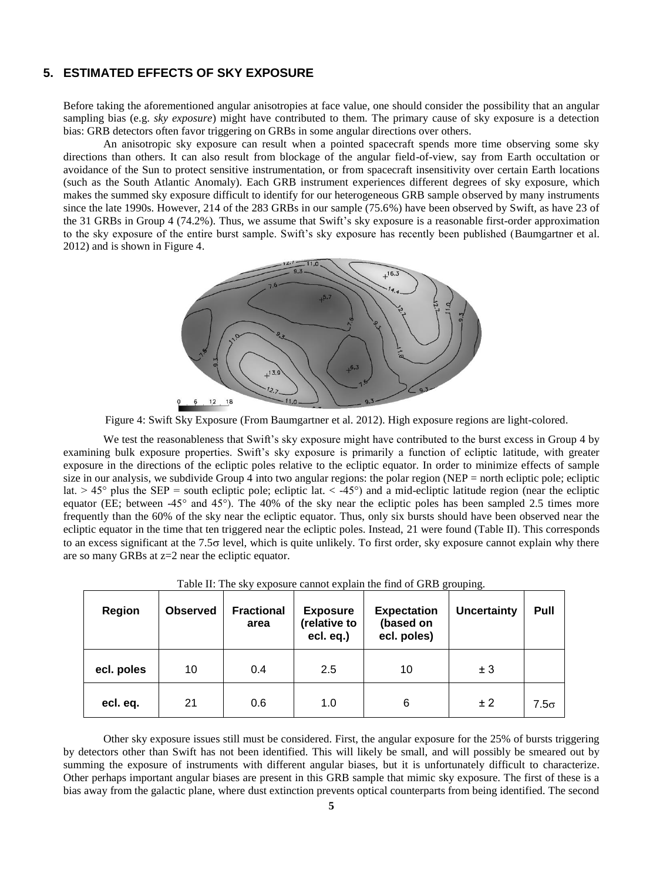## **5. ESTIMATED EFFECTS OF SKY EXPOSURE**

Before taking the aforementioned angular anisotropies at face value, one should consider the possibility that an angular sampling bias (e.g. *sky exposure*) might have contributed to them. The primary cause of sky exposure is a detection bias: GRB detectors often favor triggering on GRBs in some angular directions over others.

An anisotropic sky exposure can result when a pointed spacecraft spends more time observing some sky directions than others. It can also result from blockage of the angular field-of-view, say from Earth occultation or avoidance of the Sun to protect sensitive instrumentation, or from spacecraft insensitivity over certain Earth locations (such as the South Atlantic Anomaly). Each GRB instrument experiences different degrees of sky exposure, which makes the summed sky exposure difficult to identify for our heterogeneous GRB sample observed by many instruments since the late 1990s. However, 214 of the 283 GRBs in our sample (75.6%) have been observed by Swift, as have 23 of the 31 GRBs in Group 4 (74.2%). Thus, we assume that Swift's sky exposure is a reasonable first-order approximation to the sky exposure of the entire burst sample. Swift's sky exposure has recently been published (Baumgartner et al. 2012) and is shown in Figure 4.



Figure 4: Swift Sky Exposure (From Baumgartner et al. 2012). High exposure regions are light-colored.

We test the reasonableness that Swift's sky exposure might have contributed to the burst excess in Group 4 by examining bulk exposure properties. Swift's sky exposure is primarily a function of ecliptic latitude, with greater exposure in the directions of the ecliptic poles relative to the ecliptic equator. In order to minimize effects of sample size in our analysis, we subdivide Group  $\overline{4}$  into two angular regions: the polar region (NEP = north ecliptic pole; ecliptic lat.  $> 45^{\circ}$  plus the SEP = south ecliptic pole; ecliptic lat.  $< -45^{\circ}$  and a mid-ecliptic latitude region (near the ecliptic equator (EE; between -45° and 45°). The 40% of the sky near the ecliptic poles has been sampled 2.5 times more frequently than the 60% of the sky near the ecliptic equator. Thus, only six bursts should have been observed near the ecliptic equator in the time that ten triggered near the ecliptic poles. Instead, 21 were found (Table II). This corresponds to an excess significant at the  $7.5\sigma$  level, which is quite unlikely. To first order, sky exposure cannot explain why there are so many GRBs at z=2 near the ecliptic equator.

| Region     | <b>Observed</b> | <b>Fractional</b><br>area | <b>Exposure</b><br>(relative to<br>ecl. eq.) | <b>Expectation</b><br>(based on<br>ecl. poles) | <b>Uncertainty</b> | Pull        |
|------------|-----------------|---------------------------|----------------------------------------------|------------------------------------------------|--------------------|-------------|
| ecl. poles | 10              | 0.4                       | 2.5                                          | 10                                             | ± 3                |             |
| ecl. eq.   | 21              | 0.6                       | 1.0                                          | 6                                              | ± 2                | $7.5\sigma$ |

| Table II: The sky exposure cannot explain the find of GRB grouping. |  |
|---------------------------------------------------------------------|--|
|                                                                     |  |
|                                                                     |  |

Other sky exposure issues still must be considered. First, the angular exposure for the 25% of bursts triggering by detectors other than Swift has not been identified. This will likely be small, and will possibly be smeared out by summing the exposure of instruments with different angular biases, but it is unfortunately difficult to characterize. Other perhaps important angular biases are present in this GRB sample that mimic sky exposure. The first of these is a bias away from the galactic plane, where dust extinction prevents optical counterparts from being identified. The second